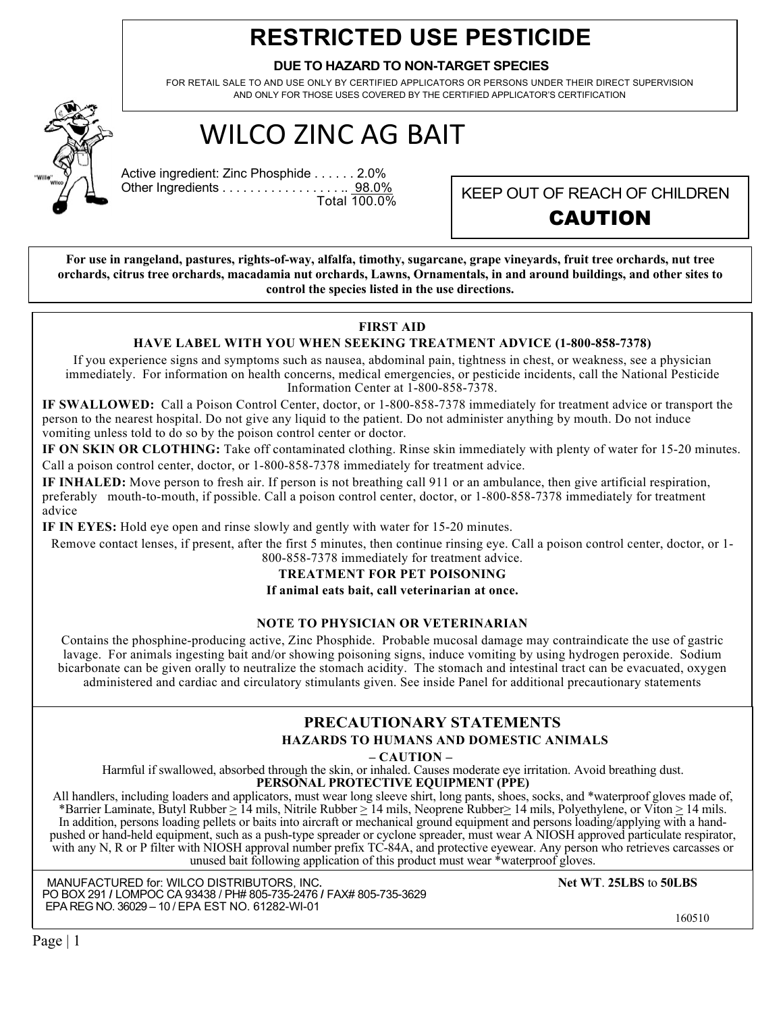# **RESTRICTED USE PESTICIDE**

#### **DUE TO HAZARD TO NON-TARGET SPECIES**

FOR RETAIL SALE TO AND USE ONLY BY CERTIFIED APPLICATORS OR PERSONS UNDER THEIR DIRECT SUPERVISION AND ONLY FOR THOSE USES COVERED BY THE CERTIFIED APPLICATOR'S CERTIFICATION

# WILCO ZINC AG BAIT

Active ingredient: Zinc Phosphide . . . . . . 2.0% Other Ingredients . . . . . . . . . . . . . . . . . . <u>98.0%</u><br>Total 100.0%

KEEP OUT OF REACH OF CHILDREN CAUTION

**For use in rangeland, pastures, rights-of-way, alfalfa, timothy, sugarcane, grape vineyards, fruit tree orchards, nut tree orchards, citrus tree orchards, macadamia nut orchards, Lawns, Ornamentals, in and around buildings, and other sites to control the species listed in the use directions.**

# **FIRST AID**

#### **HAVE LABEL WITH YOU WHEN SEEKING TREATMENT ADVICE (1-800-858-7378)**

If you experience signs and symptoms such as nausea, abdominal pain, tightness in chest, or weakness, see a physician immediately. For information on health concerns, medical emergencies, or pesticide incidents, call the National Pesticide Information Center at 1-800-858-7378.

**IF SWALLOWED:** Call a Poison Control Center, doctor, or 1-800-858-7378 immediately for treatment advice or transport the person to the nearest hospital. Do not give any liquid to the patient. Do not administer anything by mouth. Do not induce vomiting unless told to do so by the poison control center or doctor.

**IF ON SKIN OR CLOTHING:** Take off contaminated clothing. Rinse skin immediately with plenty of water for 15-20 minutes. Call a poison control center, doctor, or 1-800-858-7378 immediately for treatment advice.

**IF INHALED:** Move person to fresh air. If person is not breathing call 911 or an ambulance, then give artificial respiration, preferably mouth-to-mouth, if possible. Call a poison control center, doctor, or 1-800-858-7378 immediately for treatment advice

**IF IN EYES:** Hold eye open and rinse slowly and gently with water for 15-20 minutes.

Remove contact lenses, if present, after the first 5 minutes, then continue rinsing eye. Call a poison control center, doctor, or 1- 800-858-7378 immediately for treatment advice.

# **TREATMENT FOR PET POISONING**

**If animal eats bait, call veterinarian at once.**

#### **NOTE TO PHYSICIAN OR VETERINARIAN**

Contains the phosphine-producing active, Zinc Phosphide. Probable mucosal damage may contraindicate the use of gastric lavage. For animals ingesting bait and/or showing poisoning signs, induce vomiting by using hydrogen peroxide. Sodium bicarbonate can be given orally to neutralize the stomach acidity. The stomach and intestinal tract can be evacuated, oxygen administered and cardiac and circulatory stimulants given. See inside Panel for additional precautionary statements

#### **PRECAUTIONARY STATEMENTS HAZARDS TO HUMANS AND DOMESTIC ANIMALS**

**– CAUTION –**

Harmful if swallowed, absorbed through the skin, or inhaled. Causes moderate eye irritation. Avoid breathing dust.

**PERSONAL PROTECTIVE EQUIPMENT (PPE)**

All handlers, including loaders and applicators, must wear long sleeve shirt, long pants, shoes, socks, and \*waterproof gloves made of, \*Barrier Laminate, Butyl Rubber  $\geq 14$  mils, Nitrile Rubber  $\geq 14$  mils, Neoprene In addition, persons loading pellets or baits into aircraft or mechanical ground equipment and persons loading/applying with a handpushed or hand-held equipment, such as a push-type spreader or cyclone spreader, must wear A NIOSH approved particulate respirator, with any N, R or P filter with NIOSH approval number prefix TC-84A, and protective eyewear. Any person who retrieves carcasses or unused bait following application of this product must wear \*waterproof gloves.

 PO BOX 291 **/** LOMPOC CA 93438 / PH# 805-735-2476 **/** FAX# 805-735-3629 MANUFACTURED for: WILCO DISTRIBUTORS, INC**. Net WT**. **25LBS** to **50LBS**  EPA REG NO. 36029 – 10 / EPA EST NO. 61282-WI-01 160510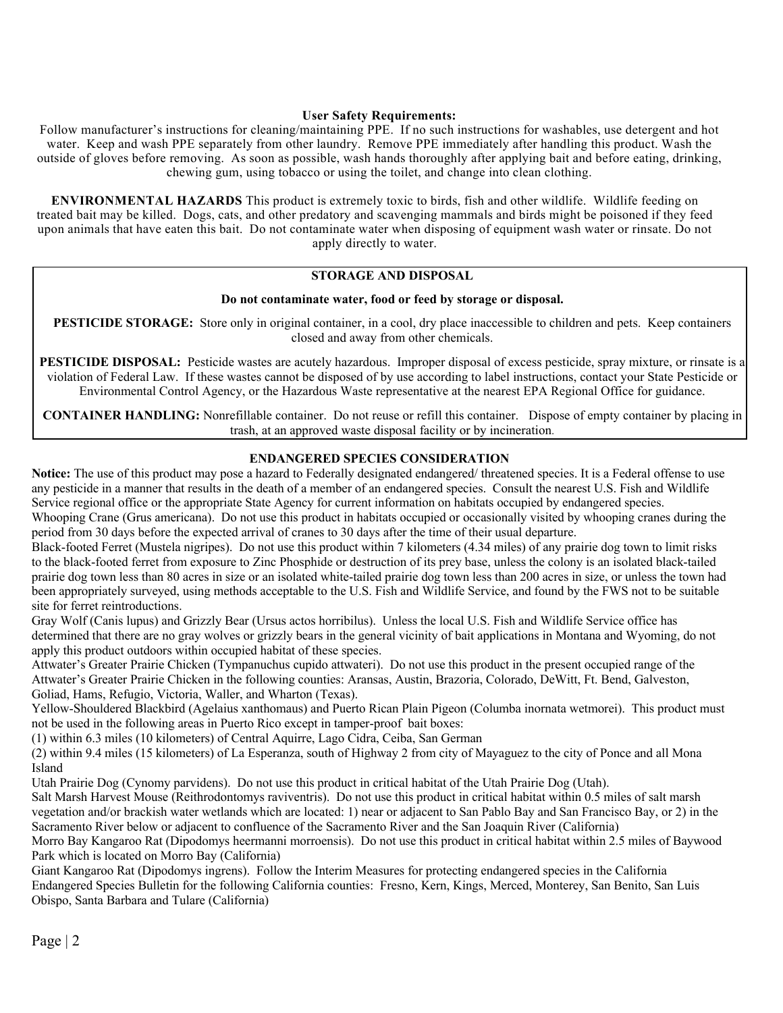#### **User Safety Requirements:**

Follow manufacturer's instructions for cleaning/maintaining PPE. If no such instructions for washables, use detergent and hot water. Keep and wash PPE separately from other laundry. Remove PPE immediately after handling this product. Wash the outside of gloves before removing. As soon as possible, wash hands thoroughly after applying bait and before eating, drinking, chewing gum, using tobacco or using the toilet, and change into clean clothing.

**ENVIRONMENTAL HAZARDS** This product is extremely toxic to birds, fish and other wildlife. Wildlife feeding on treated bait may be killed. Dogs, cats, and other predatory and scavenging mammals and birds might be poisoned if they feed upon animals that have eaten this bait. Do not contaminate water when disposing of equipment wash water or rinsate. Do not apply directly to water.

#### **STORAGE AND DISPOSAL**

#### **Do not contaminate water, food or feed by storage or disposal.**

**PESTICIDE STORAGE:** Store only in original container, in a cool, dry place inaccessible to children and pets. Keep containers closed and away from other chemicals.

**PESTICIDE DISPOSAL:** Pesticide wastes are acutely hazardous. Improper disposal of excess pesticide, spray mixture, or rinsate is a violation of Federal Law. If these wastes cannot be disposed of by use according to label instructions, contact your State Pesticide or Environmental Control Agency, or the Hazardous Waste representative at the nearest EPA Regional Office for guidance.

**CONTAINER HANDLING:** Nonrefillable container. Do not reuse or refill this container. Dispose of empty container by placing in trash, at an approved waste disposal facility or by incineration.

#### **ENDANGERED SPECIES CONSIDERATION**

**Notice:** The use of this product may pose a hazard to Federally designated endangered/ threatened species. It is a Federal offense to use any pesticide in a manner that results in the death of a member of an endangered species. Consult the nearest U.S. Fish and Wildlife Service regional office or the appropriate State Agency for current information on habitats occupied by endangered species. Whooping Crane (Grus americana). Do not use this product in habitats occupied or occasionally visited by whooping cranes during the period from 30 days before the expected arrival of cranes to 30 days after the time of their usual departure.

Black-footed Ferret (Mustela nigripes). Do not use this product within 7 kilometers (4.34 miles) of any prairie dog town to limit risks to the black-footed ferret from exposure to Zinc Phosphide or destruction of its prey base, unless the colony is an isolated black-tailed prairie dog town less than 80 acres in size or an isolated white-tailed prairie dog town less than 200 acres in size, or unless the town had been appropriately surveyed, using methods acceptable to the U.S. Fish and Wildlife Service, and found by the FWS not to be suitable site for ferret reintroductions.

Gray Wolf (Canis lupus) and Grizzly Bear (Ursus actos horribilus). Unless the local U.S. Fish and Wildlife Service office has determined that there are no gray wolves or grizzly bears in the general vicinity of bait applications in Montana and Wyoming, do not apply this product outdoors within occupied habitat of these species.

Attwater's Greater Prairie Chicken (Tympanuchus cupido attwateri). Do not use this product in the present occupied range of the Attwater's Greater Prairie Chicken in the following counties: Aransas, Austin, Brazoria, Colorado, DeWitt, Ft. Bend, Galveston, Goliad, Hams, Refugio, Victoria, Waller, and Wharton (Texas).

Yellow-Shouldered Blackbird (Agelaius xanthomaus) and Puerto Rican Plain Pigeon (Columba inornata wetmorei). This product must not be used in the following areas in Puerto Rico except in tamper-proof bait boxes:

(1) within 6.3 miles (10 kilometers) of Central Aquirre, Lago Cidra, Ceiba, San German

(2) within 9.4 miles (15 kilometers) of La Esperanza, south of Highway 2 from city of Mayaguez to the city of Ponce and all Mona Island

Utah Prairie Dog (Cynomy parvidens). Do not use this product in critical habitat of the Utah Prairie Dog (Utah).

Salt Marsh Harvest Mouse (Reithrodontomys raviventris). Do not use this product in critical habitat within 0.5 miles of salt marsh vegetation and/or brackish water wetlands which are located: 1) near or adjacent to San Pablo Bay and San Francisco Bay, or 2) in the Sacramento River below or adjacent to confluence of the Sacramento River and the San Joaquin River (California)

Morro Bay Kangaroo Rat (Dipodomys heermanni morroensis). Do not use this product in critical habitat within 2.5 miles of Baywood Park which is located on Morro Bay (California)

Giant Kangaroo Rat (Dipodomys ingrens). Follow the Interim Measures for protecting endangered species in the California Endangered Species Bulletin for the following California counties: Fresno, Kern, Kings, Merced, Monterey, San Benito, San Luis Obispo, Santa Barbara and Tulare (California)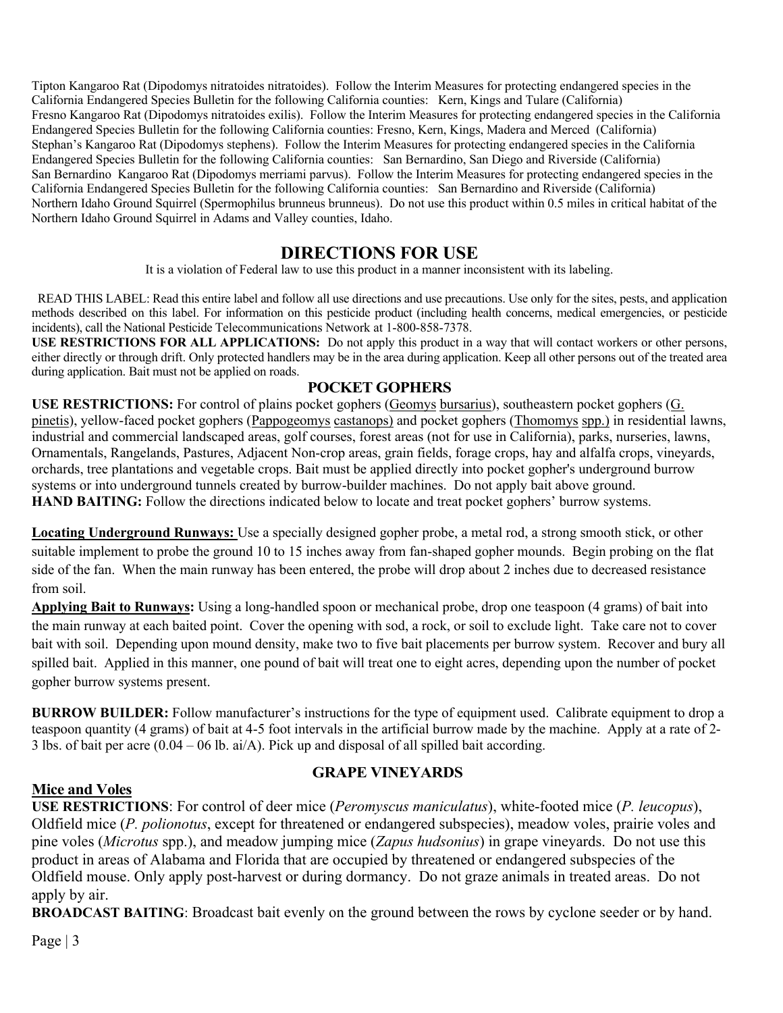Tipton Kangaroo Rat (Dipodomys nitratoides nitratoides). Follow the Interim Measures for protecting endangered species in the California Endangered Species Bulletin for the following California counties: Kern, Kings and Tulare (California) Fresno Kangaroo Rat (Dipodomys nitratoides exilis). Follow the Interim Measures for protecting endangered species in the California Endangered Species Bulletin for the following California counties: Fresno, Kern, Kings, Madera and Merced (California) Stephan's Kangaroo Rat (Dipodomys stephens). Follow the Interim Measures for protecting endangered species in the California Endangered Species Bulletin for the following California counties: San Bernardino, San Diego and Riverside (California) San Bernardino Kangaroo Rat (Dipodomys merriami parvus). Follow the Interim Measures for protecting endangered species in the California Endangered Species Bulletin for the following California counties: San Bernardino and Riverside (California) Northern Idaho Ground Squirrel (Spermophilus brunneus brunneus). Do not use this product within 0.5 miles in critical habitat of the Northern Idaho Ground Squirrel in Adams and Valley counties, Idaho.

# **DIRECTIONS FOR USE**

It is a violation of Federal law to use this product in a manner inconsistent with its labeling.

READ THIS LABEL: Read this entire label and follow all use directions and use precautions. Use only for the sites, pests, and application methods described on this label. For information on this pesticide product (including health concerns, medical emergencies, or pesticide incidents), call the National Pesticide Telecommunications Network at 1-800-858-7378.

**USE RESTRICTIONS FOR ALL APPLICATIONS:** Do not apply this product in a way that will contact workers or other persons, either directly or through drift. Only protected handlers may be in the area during application. Keep all other persons out of the treated area during application. Bait must not be applied on roads.

### **POCKET GOPHERS**

**USE RESTRICTIONS:** For control of plains pocket gophers (Geomys bursarius), southeastern pocket gophers (G. pinetis), yellow-faced pocket gophers (Pappogeomys castanops) and pocket gophers (Thomomys spp.) in residential lawns, industrial and commercial landscaped areas, golf courses, forest areas (not for use in California), parks, nurseries, lawns, Ornamentals, Rangelands, Pastures, Adjacent Non-crop areas, grain fields, forage crops, hay and alfalfa crops, vineyards, orchards, tree plantations and vegetable crops. Bait must be applied directly into pocket gopher's underground burrow systems or into underground tunnels created by burrow-builder machines. Do not apply bait above ground. **HAND BAITING:** Follow the directions indicated below to locate and treat pocket gophers' burrow systems.

**Locating Underground Runways:** Use a specially designed gopher probe, a metal rod, a strong smooth stick, or other suitable implement to probe the ground 10 to 15 inches away from fan-shaped gopher mounds. Begin probing on the flat side of the fan. When the main runway has been entered, the probe will drop about 2 inches due to decreased resistance from soil.

**Applying Bait to Runways:** Using a long-handled spoon or mechanical probe, drop one teaspoon (4 grams) of bait into the main runway at each baited point. Cover the opening with sod, a rock, or soil to exclude light. Take care not to cover bait with soil. Depending upon mound density, make two to five bait placements per burrow system. Recover and bury all spilled bait. Applied in this manner, one pound of bait will treat one to eight acres, depending upon the number of pocket gopher burrow systems present.

**BURROW BUILDER:** Follow manufacturer's instructions for the type of equipment used. Calibrate equipment to drop a teaspoon quantity (4 grams) of bait at 4-5 foot intervals in the artificial burrow made by the machine. Apply at a rate of 2- 3 lbs. of bait per acre (0.04 – 06 lb. ai/A). Pick up and disposal of all spilled bait according.

# **Mice and Voles**

# **GRAPE VINEYARDS**

**USE RESTRICTIONS**: For control of deer mice (*Peromyscus maniculatus*), white-footed mice (*P. leucopus*), Oldfield mice (*P. polionotus*, except for threatened or endangered subspecies), meadow voles, prairie voles and pine voles (*Microtus* spp.), and meadow jumping mice (*Zapus hudsonius*) in grape vineyards. Do not use this product in areas of Alabama and Florida that are occupied by threatened or endangered subspecies of the Oldfield mouse. Only apply post-harvest or during dormancy. Do not graze animals in treated areas. Do not apply by air.

**BROADCAST BAITING**: Broadcast bait evenly on the ground between the rows by cyclone seeder or by hand.

Page | 3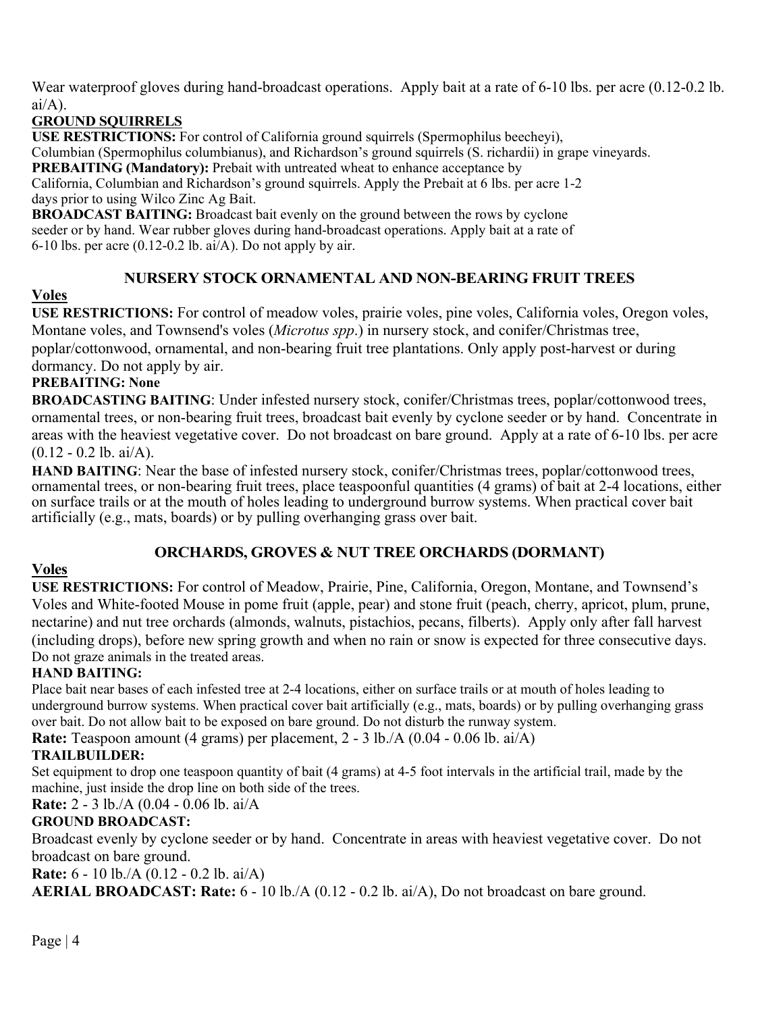Wear waterproof gloves during hand-broadcast operations. Apply bait at a rate of 6-10 lbs. per acre (0.12-0.2 lb.  $ai/A$ ).

# **GROUND SQUIRRELS**

**USE RESTRICTIONS:** For control of California ground squirrels (Spermophilus beecheyi), Columbian (Spermophilus columbianus), and Richardson's ground squirrels (S. richardii) in grape vineyards.

**PREBAITING (Mandatory):** Prebait with untreated wheat to enhance acceptance by

California, Columbian and Richardson's ground squirrels. Apply the Prebait at 6 lbs. per acre 1-2 days prior to using Wilco Zinc Ag Bait.

**BROADCAST BAITING:** Broadcast bait evenly on the ground between the rows by cyclone seeder or by hand. Wear rubber gloves during hand-broadcast operations. Apply bait at a rate of 6-10 lbs. per acre (0.12-0.2 lb. ai/A). Do not apply by air.

# **NURSERY STOCK ORNAMENTAL AND NON-BEARING FRUIT TREES**

# **Voles**

**USE RESTRICTIONS:** For control of meadow voles, prairie voles, pine voles, California voles, Oregon voles, Montane voles, and Townsend's voles (*Microtus spp*.) in nursery stock, and conifer/Christmas tree, poplar/cottonwood, ornamental, and non-bearing fruit tree plantations. Only apply post-harvest or during dormancy. Do not apply by air.

# **PREBAITING: None**

**BROADCASTING BAITING**: Under infested nursery stock, conifer/Christmas trees, poplar/cottonwood trees, ornamental trees, or non-bearing fruit trees, broadcast bait evenly by cyclone seeder or by hand. Concentrate in areas with the heaviest vegetative cover. Do not broadcast on bare ground. Apply at a rate of 6-10 lbs. per acre  $(0.12 - 0.2$  lb. ai/A).

**HAND BAITING**: Near the base of infested nursery stock, conifer/Christmas trees, poplar/cottonwood trees, ornamental trees, or non-bearing fruit trees, place teaspoonful quantities (4 grams) of bait at 2-4 locations, either on surface trails or at the mouth of holes leading to underground burrow systems. When practical cover bait artificially (e.g., mats, boards) or by pulling overhanging grass over bait.

# **ORCHARDS, GROVES & NUT TREE ORCHARDS (DORMANT)**

# **Voles**

**USE RESTRICTIONS:** For control of Meadow, Prairie, Pine, California, Oregon, Montane, and Townsend's Voles and White-footed Mouse in pome fruit (apple, pear) and stone fruit (peach, cherry, apricot, plum, prune, nectarine) and nut tree orchards (almonds, walnuts, pistachios, pecans, filberts). Apply only after fall harvest (including drops), before new spring growth and when no rain or snow is expected for three consecutive days. Do not graze animals in the treated areas.

# **HAND BAITING:**

Place bait near bases of each infested tree at 2-4 locations, either on surface trails or at mouth of holes leading to underground burrow systems. When practical cover bait artificially (e.g., mats, boards) or by pulling overhanging grass over bait. Do not allow bait to be exposed on bare ground. Do not disturb the runway system.

**Rate:** Teaspoon amount (4 grams) per placement, 2 - 3 lb./A (0.04 - 0.06 lb. ai/A)

# **TRAILBUILDER:**

Set equipment to drop one teaspoon quantity of bait (4 grams) at 4-5 foot intervals in the artificial trail, made by the machine, just inside the drop line on both side of the trees.

**Rate:** 2 - 3 lb./A (0.04 - 0.06 lb. ai/A

# **GROUND BROADCAST:**

Broadcast evenly by cyclone seeder or by hand. Concentrate in areas with heaviest vegetative cover. Do not broadcast on bare ground.

**Rate:** 6 - 10 lb./A (0.12 - 0.2 lb. ai/A)

**AERIAL BROADCAST: Rate:** 6 - 10 lb./A (0.12 - 0.2 lb. ai/A), Do not broadcast on bare ground.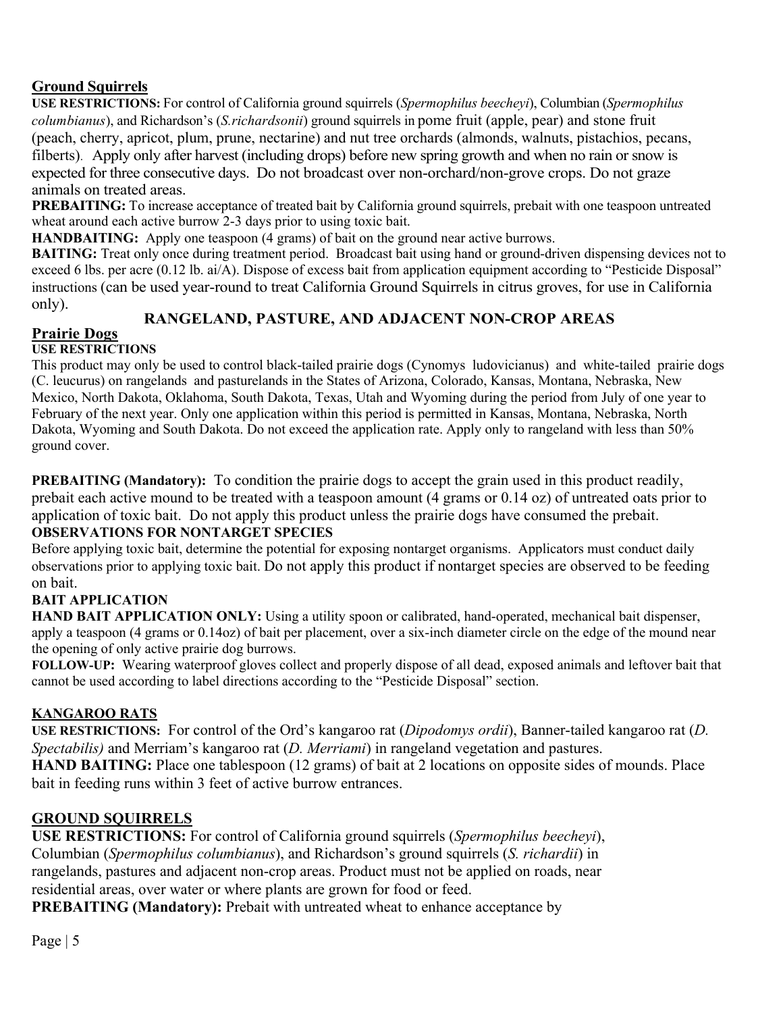# **Ground Squirrels**

**USE RESTRICTIONS:** For control of California ground squirrels (*Spermophilus beecheyi*), Columbian (*Spermophilus columbianus*), and Richardson's (*S.richardsonii*) ground squirrels in pome fruit (apple, pear) and stone fruit (peach, cherry, apricot, plum, prune, nectarine) and nut tree orchards (almonds, walnuts, pistachios, pecans, filberts). Apply only after harvest (including drops) before new spring growth and when no rain or snow is expected for three consecutive days. Do not broadcast over non-orchard/non-grove crops. Do not graze animals on treated areas.

**PREBAITING:** To increase acceptance of treated bait by California ground squirrels, prebait with one teaspoon untreated wheat around each active burrow 2-3 days prior to using toxic bait.

**HANDBAITING:** Apply one teaspoon (4 grams) of bait on the ground near active burrows.

**BAITING:** Treat only once during treatment period. Broadcast bait using hand or ground-driven dispensing devices not to exceed 6 lbs. per acre (0.12 lb. ai/A). Dispose of excess bait from application equipment according to "Pesticide Disposal" instructions (can be used year-round to treat California Ground Squirrels in citrus groves, for use in California only). **RANGELAND, PASTURE, AND ADJACENT NON-CROP AREAS**

#### **Prairie Dogs USE RESTRICTIONS**

This product may only be used to control black-tailed prairie dogs (Cynomys ludovicianus) and white-tailed prairie dogs (C. leucurus) on rangelands and pasturelands in the States of Arizona, Colorado, Kansas, Montana, Nebraska, New Mexico, North Dakota, Oklahoma, South Dakota, Texas, Utah and Wyoming during the period from July of one year to February of the next year. Only one application within this period is permitted in Kansas, Montana, Nebraska, North Dakota, Wyoming and South Dakota. Do not exceed the application rate. Apply only to rangeland with less than 50% ground cover.

**PREBAITING (Mandatory):** To condition the prairie dogs to accept the grain used in this product readily, prebait each active mound to be treated with a teaspoon amount (4 grams or 0.14 oz) of untreated oats prior to application of toxic bait. Do not apply this product unless the prairie dogs have consumed the prebait. **OBSERVATIONS FOR NONTARGET SPECIES** 

Before applying toxic bait, determine the potential for exposing nontarget organisms. Applicators must conduct daily observations prior to applying toxic bait. Do not apply this product if nontarget species are observed to be feeding on bait.

# **BAIT APPLICATION**

**HAND BAIT APPLICATION ONLY:** Using a utility spoon or calibrated, hand-operated, mechanical bait dispenser, apply a teaspoon (4 grams or 0.14oz) of bait per placement, over a six-inch diameter circle on the edge of the mound near the opening of only active prairie dog burrows.

**FOLLOW-UP:** Wearing waterproof gloves collect and properly dispose of all dead, exposed animals and leftover bait that cannot be used according to label directions according to the "Pesticide Disposal" section.

# **KANGAROO RATS**

**USE RESTRICTIONS:** For control of the Ord's kangaroo rat (*Dipodomys ordii*), Banner-tailed kangaroo rat (*D. Spectabilis)* and Merriam's kangaroo rat (*D. Merriami*) in rangeland vegetation and pastures. **HAND BAITING:** Place one tablespoon (12 grams) of bait at 2 locations on opposite sides of mounds. Place bait in feeding runs within 3 feet of active burrow entrances.

# **GROUND SQUIRRELS**

**USE RESTRICTIONS:** For control of California ground squirrels (*Spermophilus beecheyi*), Columbian (*Spermophilus columbianus*), and Richardson's ground squirrels (*S. richardii*) in rangelands, pastures and adjacent non-crop areas. Product must not be applied on roads, near residential areas, over water or where plants are grown for food or feed.

**PREBAITING (Mandatory):** Prebait with untreated wheat to enhance acceptance by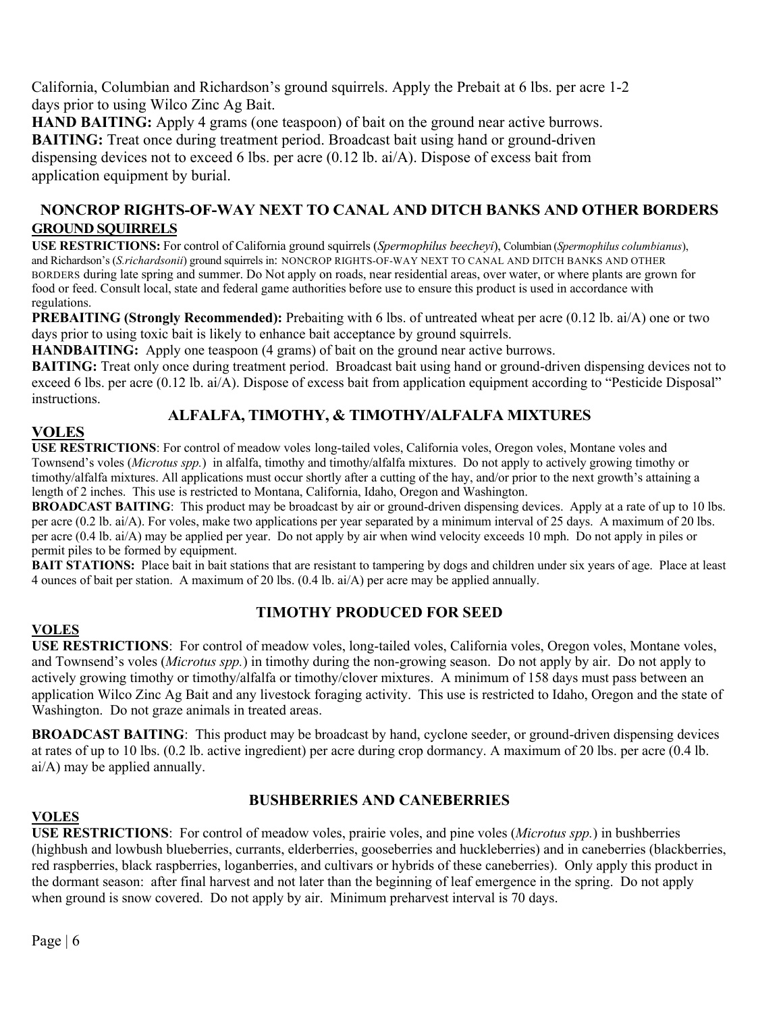California, Columbian and Richardson's ground squirrels. Apply the Prebait at 6 lbs. per acre 1-2 days prior to using Wilco Zinc Ag Bait.

**HAND BAITING:** Apply 4 grams (one teaspoon) of bait on the ground near active burrows. **BAITING:** Treat once during treatment period. Broadcast bait using hand or ground-driven dispensing devices not to exceed 6 lbs. per acre (0.12 lb. ai/A). Dispose of excess bait from application equipment by burial.

# **NONCROP RIGHTS-OF-WAY NEXT TO CANAL AND DITCH BANKS AND OTHER BORDERS GROUND SQUIRRELS**

**USE RESTRICTIONS:** For control of California ground squirrels (*Spermophilus beecheyi*), Columbian (*Spermophilus columbianus*), and Richardson's (*S.richardsonii*) ground squirrels in: NONCROP RIGHTS-OF-WAY NEXT TO CANAL AND DITCH BANKS AND OTHER BORDERS during late spring and summer. Do Not apply on roads, near residential areas, over water, or where plants are grown for food or feed. Consult local, state and federal game authorities before use to ensure this product is used in accordance with regulations.

**PREBAITING (Strongly Recommended):** Prebaiting with 6 lbs. of untreated wheat per acre (0.12 lb. ai/A) one or two days prior to using toxic bait is likely to enhance bait acceptance by ground squirrels.

**HANDBAITING:** Apply one teaspoon (4 grams) of bait on the ground near active burrows.

**BAITING:** Treat only once during treatment period. Broadcast bait using hand or ground-driven dispensing devices not to exceed 6 lbs. per acre (0.12 lb. ai/A). Dispose of excess bait from application equipment according to "Pesticide Disposal" instructions.

# **ALFALFA, TIMOTHY, & TIMOTHY/ALFALFA MIXTURES**

# **VOLES**

**USE RESTRICTIONS**: For control of meadow voles long-tailed voles, California voles, Oregon voles, Montane voles and Townsend's voles (*Microtus spp.*) in alfalfa, timothy and timothy/alfalfa mixtures. Do not apply to actively growing timothy or timothy/alfalfa mixtures. All applications must occur shortly after a cutting of the hay, and/or prior to the next growth's attaining a length of 2 inches. This use is restricted to Montana, California, Idaho, Oregon and Washington.

**BROADCAST BAITING:** This product may be broadcast by air or ground-driven dispensing devices. Apply at a rate of up to 10 lbs. per acre (0.2 lb. ai/A). For voles, make two applications per year separated by a minimum interval of 25 days. A maximum of 20 lbs. per acre (0.4 lb. ai/A) may be applied per year. Do not apply by air when wind velocity exceeds 10 mph. Do not apply in piles or permit piles to be formed by equipment.

**BAIT STATIONS:** Place bait in bait stations that are resistant to tampering by dogs and children under six years of age. Place at least 4 ounces of bait per station. A maximum of 20 lbs. (0.4 lb. ai/A) per acre may be applied annually.

# **VOLES**

# **TIMOTHY PRODUCED FOR SEED**

**USE RESTRICTIONS**: For control of meadow voles, long-tailed voles, California voles, Oregon voles, Montane voles, and Townsend's voles (*Microtus spp.*) in timothy during the non-growing season. Do not apply by air. Do not apply to actively growing timothy or timothy/alfalfa or timothy/clover mixtures. A minimum of 158 days must pass between an application Wilco Zinc Ag Bait and any livestock foraging activity. This use is restricted to Idaho, Oregon and the state of Washington. Do not graze animals in treated areas.

**BROADCAST BAITING**: This product may be broadcast by hand, cyclone seeder, or ground-driven dispensing devices at rates of up to 10 lbs. (0.2 lb. active ingredient) per acre during crop dormancy. A maximum of 20 lbs. per acre (0.4 lb. ai/A) may be applied annually.

# **BUSHBERRIES AND CANEBERRIES**

#### **VOLES**

**USE RESTRICTIONS**: For control of meadow voles, prairie voles, and pine voles (*Microtus spp.*) in bushberries (highbush and lowbush blueberries, currants, elderberries, gooseberries and huckleberries) and in caneberries (blackberries, red raspberries, black raspberries, loganberries, and cultivars or hybrids of these caneberries). Only apply this product in the dormant season: after final harvest and not later than the beginning of leaf emergence in the spring. Do not apply when ground is snow covered. Do not apply by air. Minimum preharvest interval is 70 days.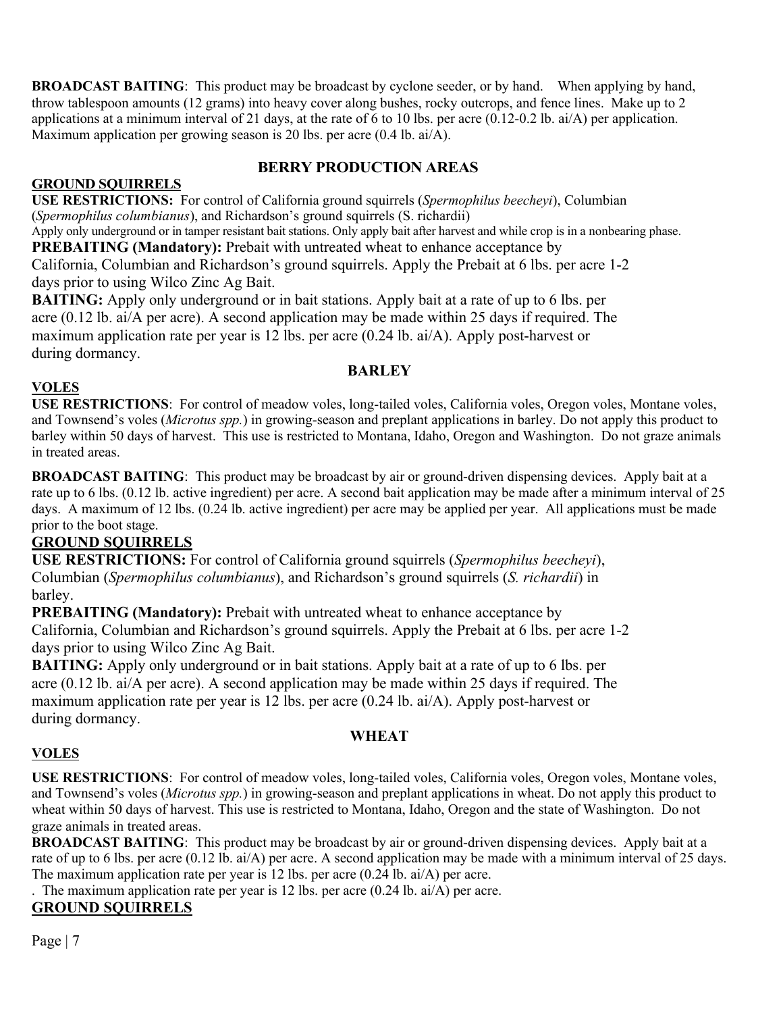**BROADCAST BAITING:** This product may be broadcast by cyclone seeder, or by hand. When applying by hand, throw tablespoon amounts (12 grams) into heavy cover along bushes, rocky outcrops, and fence lines. Make up to 2 applications at a minimum interval of 21 days, at the rate of 6 to 10 lbs. per acre  $(0.12-0.2 \text{ lb. ai/A})$  per application. Maximum application per growing season is 20 lbs. per acre (0.4 lb. ai/A).

# **BERRY PRODUCTION AREAS**

# **GROUND SQUIRRELS**

**USE RESTRICTIONS:** For control of California ground squirrels (*Spermophilus beecheyi*), Columbian (*Spermophilus columbianus*), and Richardson's ground squirrels (S. richardii)

Apply only underground or in tamper resistant bait stations. Only apply bait after harvest and while crop is in a nonbearing phase. **PREBAITING (Mandatory):** Prebait with untreated wheat to enhance acceptance by

California, Columbian and Richardson's ground squirrels. Apply the Prebait at 6 lbs. per acre 1-2 days prior to using Wilco Zinc Ag Bait.

**BAITING:** Apply only underground or in bait stations. Apply bait at a rate of up to 6 lbs. per acre (0.12 lb. ai/A per acre). A second application may be made within 25 days if required. The maximum application rate per year is 12 lbs. per acre (0.24 lb. ai/A). Apply post-harvest or during dormancy.

# **BARLEY**

### **VOLES**

**USE RESTRICTIONS**: For control of meadow voles, long-tailed voles, California voles, Oregon voles, Montane voles, and Townsend's voles (*Microtus spp.*) in growing-season and preplant applications in barley. Do not apply this product to barley within 50 days of harvest. This use is restricted to Montana, Idaho, Oregon and Washington. Do not graze animals in treated areas.

**BROADCAST BAITING**: This product may be broadcast by air or ground-driven dispensing devices. Apply bait at a rate up to 6 lbs. (0.12 lb. active ingredient) per acre. A second bait application may be made after a minimum interval of 25 days. A maximum of 12 lbs. (0.24 lb. active ingredient) per acre may be applied per year. All applications must be made prior to the boot stage.

# **GROUND SQUIRRELS**

**USE RESTRICTIONS:** For control of California ground squirrels (*Spermophilus beecheyi*), Columbian (*Spermophilus columbianus*), and Richardson's ground squirrels (*S. richardii*) in barley.

**PREBAITING (Mandatory):** Prebait with untreated wheat to enhance acceptance by California, Columbian and Richardson's ground squirrels. Apply the Prebait at 6 lbs. per acre 1-2 days prior to using Wilco Zinc Ag Bait.

**BAITING:** Apply only underground or in bait stations. Apply bait at a rate of up to 6 lbs. per acre (0.12 lb. ai/A per acre). A second application may be made within 25 days if required. The maximum application rate per year is 12 lbs. per acre (0.24 lb. ai/A). Apply post-harvest or during dormancy.

# **WHEAT**

# **VOLES**

**USE RESTRICTIONS**: For control of meadow voles, long-tailed voles, California voles, Oregon voles, Montane voles, and Townsend's voles (*Microtus spp.*) in growing-season and preplant applications in wheat. Do not apply this product to wheat within 50 days of harvest. This use is restricted to Montana, Idaho, Oregon and the state of Washington. Do not graze animals in treated areas.

**BROADCAST BAITING**: This product may be broadcast by air or ground-driven dispensing devices. Apply bait at a rate of up to 6 lbs. per acre (0.12 lb. ai/A) per acre. A second application may be made with a minimum interval of 25 days. The maximum application rate per year is 12 lbs. per acre (0.24 lb. ai/A) per acre.

. The maximum application rate per year is 12 lbs. per acre  $(0.24 \text{ lb. ai/A})$  per acre.

# **GROUND SQUIRRELS**

Page | 7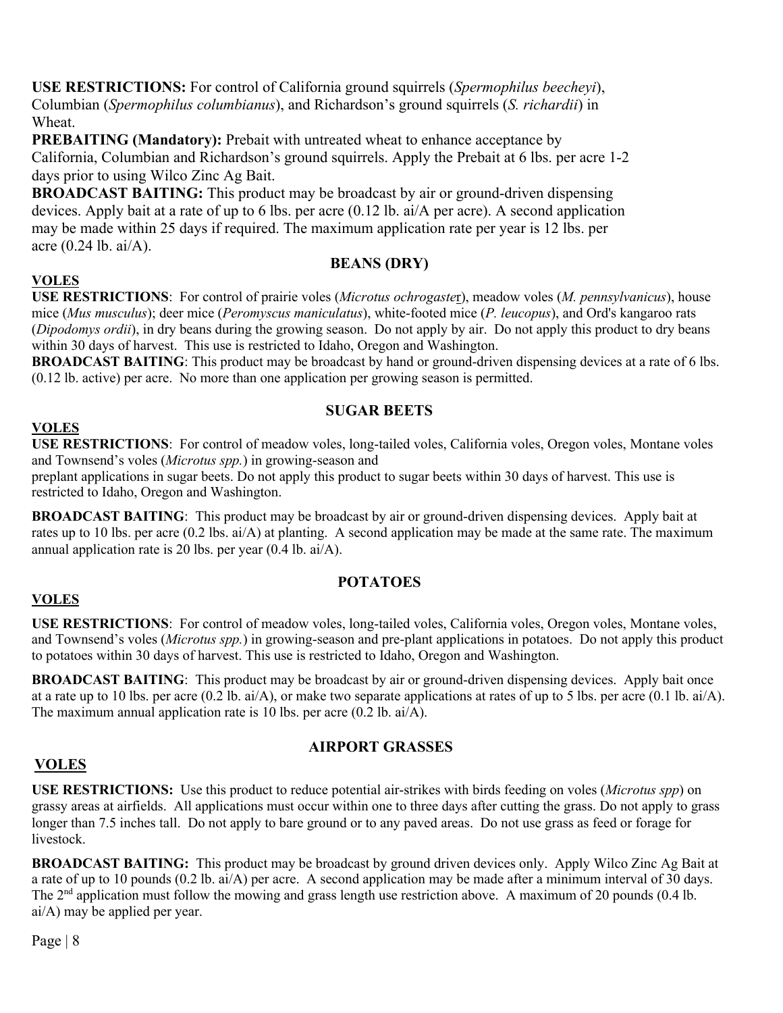**USE RESTRICTIONS:** For control of California ground squirrels (*Spermophilus beecheyi*), Columbian (*Spermophilus columbianus*), and Richardson's ground squirrels (*S. richardii*) in Wheat.

**PREBAITING (Mandatory):** Prebait with untreated wheat to enhance acceptance by California, Columbian and Richardson's ground squirrels. Apply the Prebait at 6 lbs. per acre 1-2 days prior to using Wilco Zinc Ag Bait.

**BROADCAST BAITING:** This product may be broadcast by air or ground-driven dispensing devices. Apply bait at a rate of up to 6 lbs. per acre (0.12 lb. ai/A per acre). A second application may be made within 25 days if required. The maximum application rate per year is 12 lbs. per acre (0.24 lb. ai/A).

### **BEANS (DRY)**

### **VOLES**

**USE RESTRICTIONS**: For control of prairie voles (*Microtus ochrogaste*r), meadow voles (*M. pennsylvanicus*), house mice (*Mus musculus*); deer mice (*Peromyscus maniculatus*), white-footed mice (*P. leucopus*), and Ord's kangaroo rats (*Dipodomys ordii*), in dry beans during the growing season. Do not apply by air. Do not apply this product to dry beans within 30 days of harvest. This use is restricted to Idaho, Oregon and Washington.

**BROADCAST BAITING:** This product may be broadcast by hand or ground-driven dispensing devices at a rate of 6 lbs. (0.12 lb. active) per acre. No more than one application per growing season is permitted.

# **SUGAR BEETS**

### **VOLES**

**USE RESTRICTIONS**: For control of meadow voles, long-tailed voles, California voles, Oregon voles, Montane voles and Townsend's voles (*Microtus spp.*) in growing-season and

preplant applications in sugar beets. Do not apply this product to sugar beets within 30 days of harvest. This use is restricted to Idaho, Oregon and Washington.

**BROADCAST BAITING**: This product may be broadcast by air or ground-driven dispensing devices. Apply bait at rates up to 10 lbs. per acre (0.2 lbs. ai/A) at planting. A second application may be made at the same rate. The maximum annual application rate is 20 lbs. per year (0.4 lb. ai/A).

# **POTATOES**

# **VOLES**

**USE RESTRICTIONS**: For control of meadow voles, long-tailed voles, California voles, Oregon voles, Montane voles, and Townsend's voles (*Microtus spp.*) in growing-season and pre-plant applications in potatoes. Do not apply this product to potatoes within 30 days of harvest. This use is restricted to Idaho, Oregon and Washington.

**BROADCAST BAITING**: This product may be broadcast by air or ground-driven dispensing devices. Apply bait once at a rate up to 10 lbs. per acre (0.2 lb. ai/A), or make two separate applications at rates of up to 5 lbs. per acre (0.1 lb. ai/A). The maximum annual application rate is 10 lbs. per acre (0.2 lb. ai/A).

#### **AIRPORT GRASSES**

# **VOLES**

**USE RESTRICTIONS:** Use this product to reduce potential air-strikes with birds feeding on voles (*Microtus spp*) on grassy areas at airfields. All applications must occur within one to three days after cutting the grass. Do not apply to grass longer than 7.5 inches tall. Do not apply to bare ground or to any paved areas. Do not use grass as feed or forage for livestock.

**BROADCAST BAITING:** This product may be broadcast by ground driven devices only. Apply Wilco Zinc Ag Bait at a rate of up to 10 pounds (0.2 lb. ai/A) per acre. A second application may be made after a minimum interval of 30 days. The  $2<sup>nd</sup>$  application must follow the mowing and grass length use restriction above. A maximum of 20 pounds (0.4 lb. ai/A) may be applied per year.

Page | 8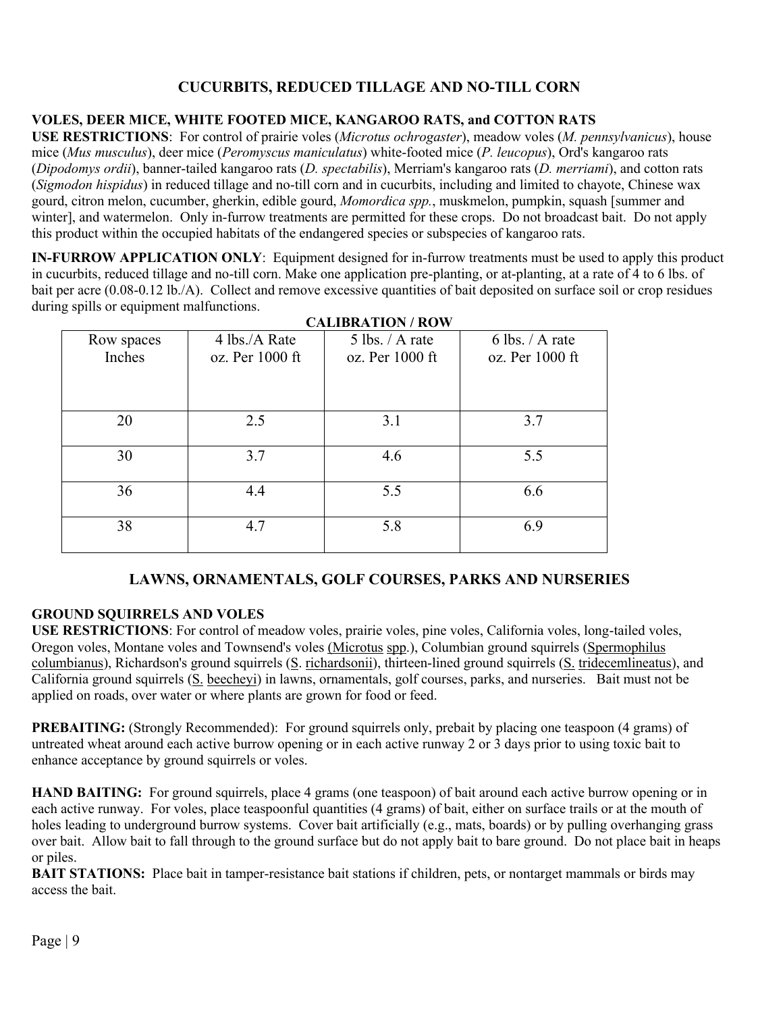# **CUCURBITS, REDUCED TILLAGE AND NO-TILL CORN**

# **VOLES, DEER MICE, WHITE FOOTED MICE, KANGAROO RATS, and COTTON RATS**

**USE RESTRICTIONS**: For control of prairie voles (*Microtus ochrogaster*), meadow voles (*M. pennsylvanicus*), house mice (*Mus musculus*), deer mice (*Peromyscus maniculatus*) white-footed mice (*P. leucopus*), Ord's kangaroo rats (*Dipodomys ordii*), banner-tailed kangaroo rats (*D. spectabilis*), Merriam's kangaroo rats (*D. merriami*), and cotton rats (*Sigmodon hispidus*) in reduced tillage and no-till corn and in cucurbits, including and limited to chayote, Chinese wax gourd, citron melon, cucumber, gherkin, edible gourd, *Momordica spp.*, muskmelon, pumpkin, squash [summer and winter], and watermelon. Only in-furrow treatments are permitted for these crops. Do not broadcast bait. Do not apply this product within the occupied habitats of the endangered species or subspecies of kangaroo rats.

**IN-FURROW APPLICATION ONLY**: Equipment designed for in-furrow treatments must be used to apply this product in cucurbits, reduced tillage and no-till corn. Make one application pre-planting, or at-planting, at a rate of 4 to 6 lbs. of bait per acre (0.08-0.12 lb./A). Collect and remove excessive quantities of bait deposited on surface soil or crop residues during spills or equipment malfunctions. **CALIBRATION / ROW**

| CALIBRATION / ROW |                 |                   |                   |
|-------------------|-----------------|-------------------|-------------------|
| Row spaces        | 4 lbs./A Rate   | $5$ lbs. / A rate | $6$ lbs. / A rate |
| Inches            | oz. Per 1000 ft | oz. Per 1000 ft   | oz. Per 1000 ft   |
|                   |                 |                   |                   |
|                   |                 |                   |                   |
|                   |                 |                   |                   |
| 20                | 2.5             | 3.1               | 3.7               |
|                   |                 |                   |                   |
| 30                | 3.7             | 4.6               | 5.5               |
|                   |                 |                   |                   |
| 36                | 4.4             | 5.5               | 6.6               |
|                   |                 |                   |                   |
| 38                | 4.7             | 5.8               | 6.9               |
|                   |                 |                   |                   |
|                   |                 |                   |                   |

#### **LAWNS, ORNAMENTALS, GOLF COURSES, PARKS AND NURSERIES**

#### **GROUND SQUIRRELS AND VOLES**

**USE RESTRICTIONS**: For control of meadow voles, prairie voles, pine voles, California voles, long-tailed voles, Oregon voles, Montane voles and Townsend's voles (Microtus spp.), Columbian ground squirrels (Spermophilus columbianus), Richardson's ground squirrels (S. richardsonii), thirteen-lined ground squirrels (S. tridecemlineatus), and California ground squirrels (S. beecheyi) in lawns, ornamentals, golf courses, parks, and nurseries. Bait must not be applied on roads, over water or where plants are grown for food or feed.

**PREBAITING:** (Strongly Recommended): For ground squirrels only, prebait by placing one teaspoon (4 grams) of untreated wheat around each active burrow opening or in each active runway 2 or 3 days prior to using toxic bait to enhance acceptance by ground squirrels or voles.

**HAND BAITING:** For ground squirrels, place 4 grams (one teaspoon) of bait around each active burrow opening or in each active runway. For voles, place teaspoonful quantities (4 grams) of bait, either on surface trails or at the mouth of holes leading to underground burrow systems. Cover bait artificially (e.g., mats, boards) or by pulling overhanging grass over bait. Allow bait to fall through to the ground surface but do not apply bait to bare ground. Do not place bait in heaps or piles.

**BAIT STATIONS:** Place bait in tamper-resistance bait stations if children, pets, or nontarget mammals or birds may access the bait.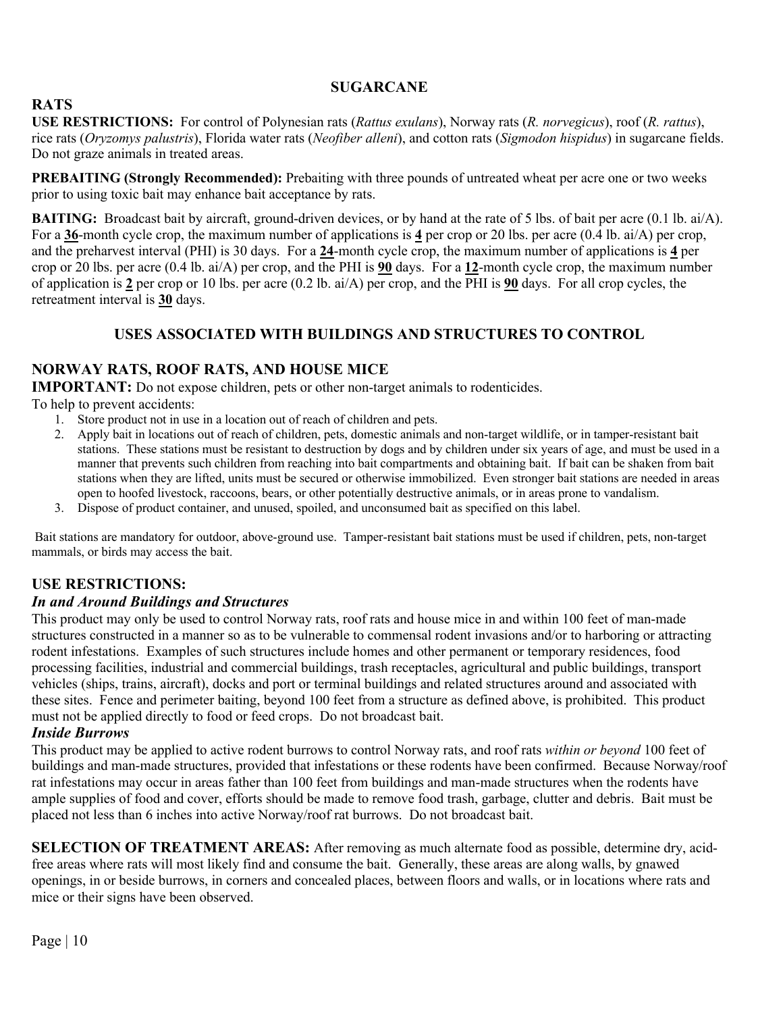#### **SUGARCANE**

# **RATS**

**USE RESTRICTIONS:** For control of Polynesian rats (*Rattus exulans*), Norway rats (*R. norvegicus*), roof (*R. rattus*), rice rats (*Oryzomys palustris*), Florida water rats (*Neofiber alleni*), and cotton rats (*Sigmodon hispidus*) in sugarcane fields. Do not graze animals in treated areas.

**PREBAITING (Strongly Recommended):** Prebaiting with three pounds of untreated wheat per acre one or two weeks prior to using toxic bait may enhance bait acceptance by rats.

**BAITING:** Broadcast bait by aircraft, ground-driven devices, or by hand at the rate of 5 lbs. of bait per acre (0.1 lb. ai/A). For a **36**-month cycle crop, the maximum number of applications is **4** per crop or 20 lbs. per acre (0.4 lb. ai/A) per crop, and the preharvest interval (PHI) is 30 days. For a **24**-month cycle crop, the maximum number of applications is **4** per crop or 20 lbs. per acre (0.4 lb. ai/A) per crop, and the PHI is **90** days. For a **12**-month cycle crop, the maximum number of application is **2** per crop or 10 lbs. per acre (0.2 lb. ai/A) per crop, and the PHI is **90** days. For all crop cycles, the retreatment interval is **30** days.

# **USES ASSOCIATED WITH BUILDINGS AND STRUCTURES TO CONTROL**

# **NORWAY RATS, ROOF RATS, AND HOUSE MICE**

**IMPORTANT:** Do not expose children, pets or other non-target animals to rodenticides.

To help to prevent accidents:

- 1. Store product not in use in a location out of reach of children and pets.
- 2. Apply bait in locations out of reach of children, pets, domestic animals and non-target wildlife, or in tamper-resistant bait stations. These stations must be resistant to destruction by dogs and by children under six years of age, and must be used in a manner that prevents such children from reaching into bait compartments and obtaining bait. If bait can be shaken from bait stations when they are lifted, units must be secured or otherwise immobilized. Even stronger bait stations are needed in areas open to hoofed livestock, raccoons, bears, or other potentially destructive animals, or in areas prone to vandalism.
- 3. Dispose of product container, and unused, spoiled, and unconsumed bait as specified on this label.

Bait stations are mandatory for outdoor, above-ground use. Tamper-resistant bait stations must be used if children, pets, non-target mammals, or birds may access the bait.

# **USE RESTRICTIONS:**

#### *In and Around Buildings and Structures*

This product may only be used to control Norway rats, roof rats and house mice in and within 100 feet of man-made structures constructed in a manner so as to be vulnerable to commensal rodent invasions and/or to harboring or attracting rodent infestations. Examples of such structures include homes and other permanent or temporary residences, food processing facilities, industrial and commercial buildings, trash receptacles, agricultural and public buildings, transport vehicles (ships, trains, aircraft), docks and port or terminal buildings and related structures around and associated with these sites. Fence and perimeter baiting, beyond 100 feet from a structure as defined above, is prohibited. This product must not be applied directly to food or feed crops. Do not broadcast bait.

#### *Inside Burrows*

This product may be applied to active rodent burrows to control Norway rats, and roof rats *within or beyond* 100 feet of buildings and man-made structures, provided that infestations or these rodents have been confirmed. Because Norway/roof rat infestations may occur in areas father than 100 feet from buildings and man-made structures when the rodents have ample supplies of food and cover, efforts should be made to remove food trash, garbage, clutter and debris. Bait must be placed not less than 6 inches into active Norway/roof rat burrows. Do not broadcast bait.

**SELECTION OF TREATMENT AREAS:** After removing as much alternate food as possible, determine dry, acidfree areas where rats will most likely find and consume the bait. Generally, these areas are along walls, by gnawed openings, in or beside burrows, in corners and concealed places, between floors and walls, or in locations where rats and mice or their signs have been observed.